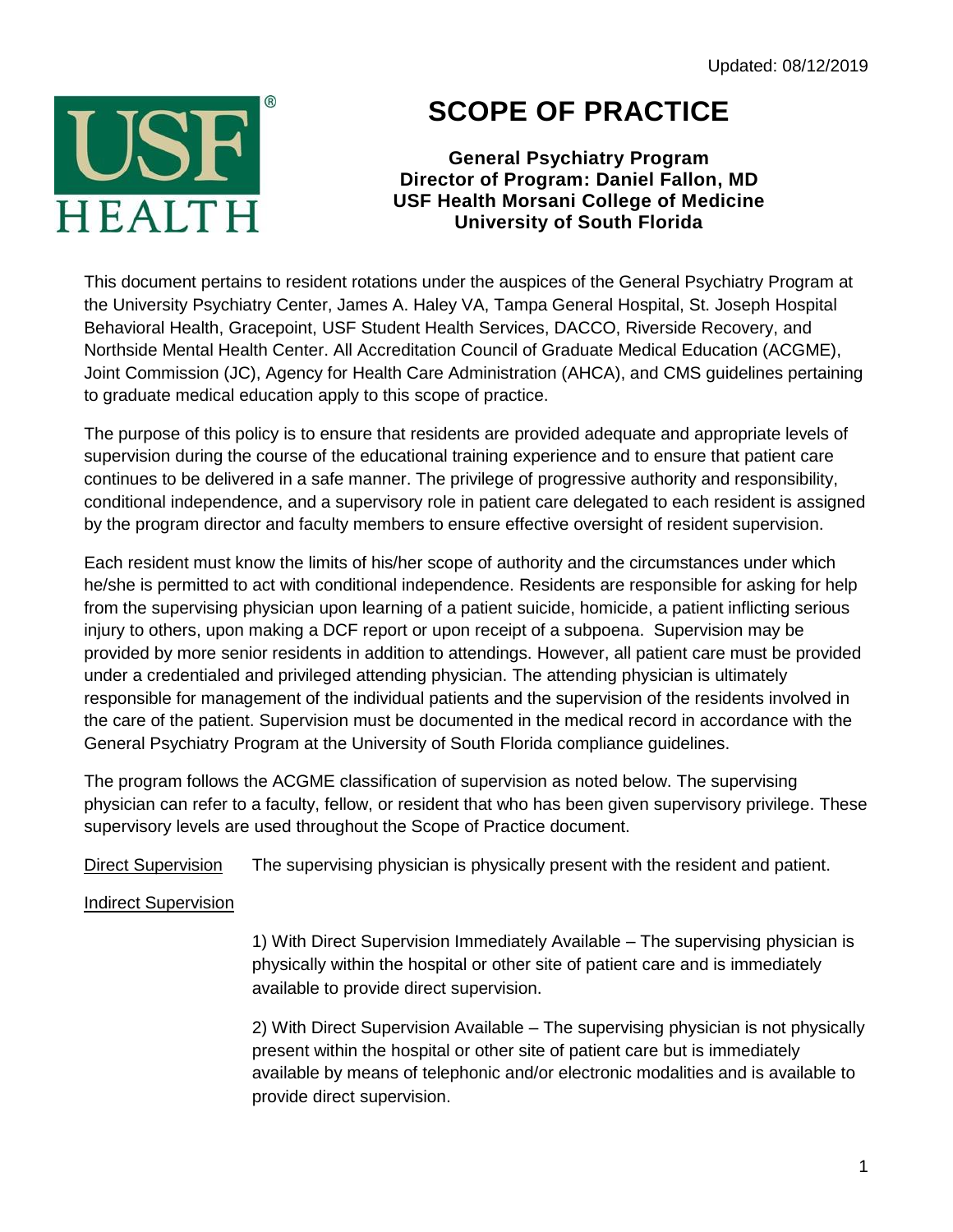Updated: 08/12/2019



## **SCOPE OF PRACTICE**

**General Psychiatry Program Director of Program: Daniel Fallon, MD USF Health Morsani College of Medicine University of South Florida**

This document pertains to resident rotations under the auspices of the General Psychiatry Program at the University Psychiatry Center, James A. Haley VA, Tampa General Hospital, St. Joseph Hospital Behavioral Health, Gracepoint, USF Student Health Services, DACCO, Riverside Recovery, and Northside Mental Health Center. All Accreditation Council of Graduate Medical Education (ACGME), Joint Commission (JC), Agency for Health Care Administration (AHCA), and CMS guidelines pertaining to graduate medical education apply to this scope of practice.

The purpose of this policy is to ensure that residents are provided adequate and appropriate levels of supervision during the course of the educational training experience and to ensure that patient care continues to be delivered in a safe manner. The privilege of progressive authority and responsibility, conditional independence, and a supervisory role in patient care delegated to each resident is assigned by the program director and faculty members to ensure effective oversight of resident supervision.

Each resident must know the limits of his/her scope of authority and the circumstances under which he/she is permitted to act with conditional independence. Residents are responsible for asking for help from the supervising physician upon learning of a patient suicide, homicide, a patient inflicting serious injury to others, upon making a DCF report or upon receipt of a subpoena. Supervision may be provided by more senior residents in addition to attendings. However, all patient care must be provided under a credentialed and privileged attending physician. The attending physician is ultimately responsible for management of the individual patients and the supervision of the residents involved in the care of the patient. Supervision must be documented in the medical record in accordance with the General Psychiatry Program at the University of South Florida compliance guidelines.

The program follows the ACGME classification of supervision as noted below. The supervising physician can refer to a faculty, fellow, or resident that who has been given supervisory privilege. These supervisory levels are used throughout the Scope of Practice document.

Direct Supervision The supervising physician is physically present with the resident and patient.

## Indirect Supervision

1) With Direct Supervision Immediately Available – The supervising physician is physically within the hospital or other site of patient care and is immediately available to provide direct supervision.

2) With Direct Supervision Available – The supervising physician is not physically present within the hospital or other site of patient care but is immediately available by means of telephonic and/or electronic modalities and is available to provide direct supervision.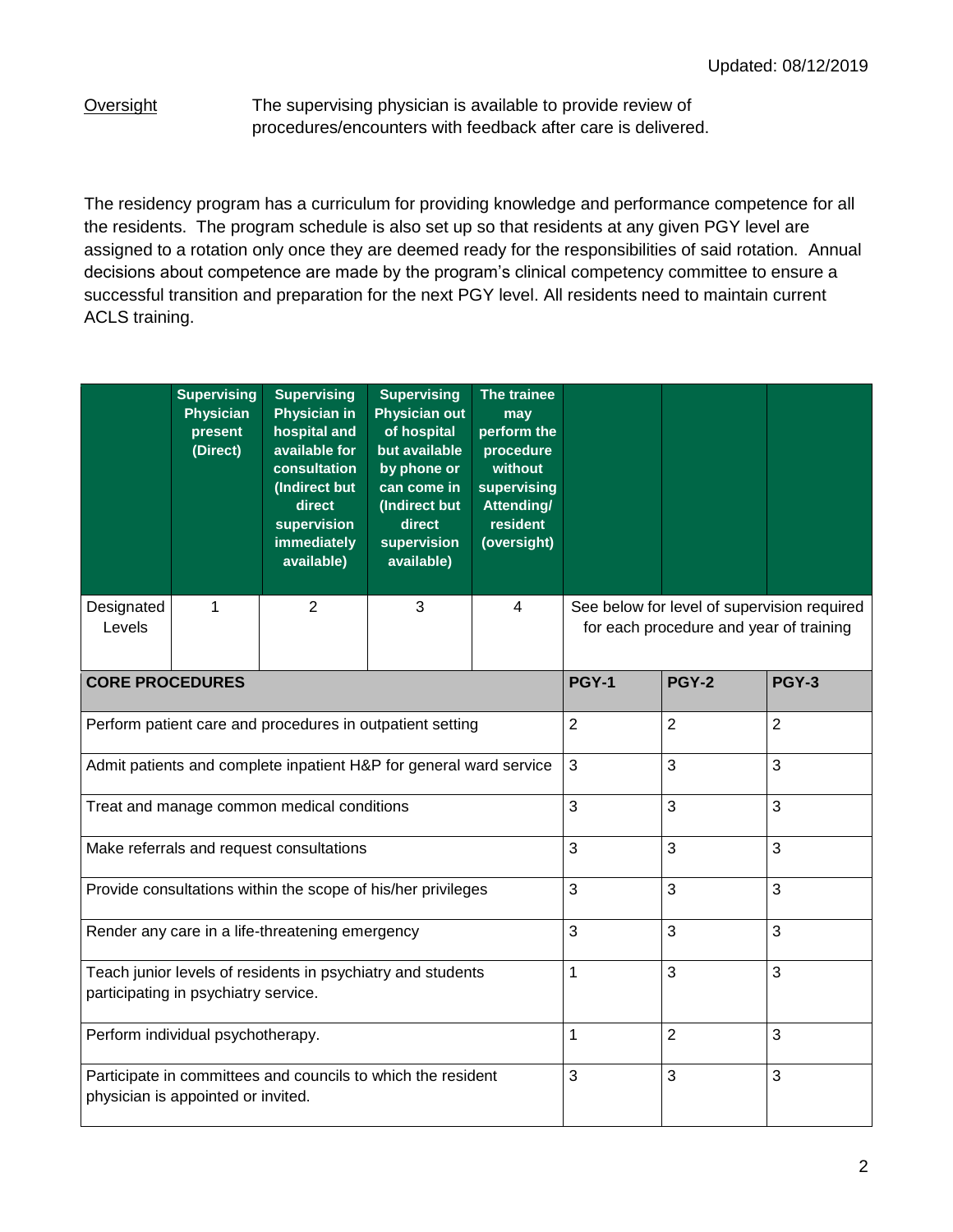Oversight The supervising physician is available to provide review of procedures/encounters with feedback after care is delivered.

The residency program has a curriculum for providing knowledge and performance competence for all the residents. The program schedule is also set up so that residents at any given PGY level are assigned to a rotation only once they are deemed ready for the responsibilities of said rotation. Annual decisions about competence are made by the program's clinical competency committee to ensure a successful transition and preparation for the next PGY level. All residents need to maintain current ACLS training.

|                        | <b>Supervising</b><br><b>Physician</b><br>present<br>(Direct) | <b>Supervising</b><br><b>Physician in</b><br>hospital and<br>available for<br>consultation<br>(Indirect but<br>direct<br>supervision<br>immediately<br>available) | <b>Supervising</b><br><b>Physician out</b><br>of hospital<br>but available<br>by phone or<br>can come in<br>(Indirect but<br>direct<br>supervision<br>available) | The trainee<br>may<br>perform the<br>procedure<br>without<br>supervising<br>Attending/<br>resident<br>(oversight) |                                                                                        |  |  |  |
|------------------------|---------------------------------------------------------------|-------------------------------------------------------------------------------------------------------------------------------------------------------------------|------------------------------------------------------------------------------------------------------------------------------------------------------------------|-------------------------------------------------------------------------------------------------------------------|----------------------------------------------------------------------------------------|--|--|--|
| Designated<br>Levels   | 1                                                             | $\overline{2}$                                                                                                                                                    | 3                                                                                                                                                                | $\overline{4}$                                                                                                    | See below for level of supervision required<br>for each procedure and year of training |  |  |  |
| <b>CORE PROCEDURES</b> |                                                               |                                                                                                                                                                   | PGY-1                                                                                                                                                            | <b>PGY-2</b>                                                                                                      | <b>PGY-3</b>                                                                           |  |  |  |
|                        |                                                               | Perform patient care and procedures in outpatient setting                                                                                                         | 2                                                                                                                                                                | $\overline{2}$                                                                                                    | $\overline{2}$                                                                         |  |  |  |
|                        |                                                               | Admit patients and complete inpatient H&P for general ward service                                                                                                | 3                                                                                                                                                                | 3                                                                                                                 | 3                                                                                      |  |  |  |
|                        |                                                               | Treat and manage common medical conditions                                                                                                                        | 3                                                                                                                                                                | 3                                                                                                                 | 3                                                                                      |  |  |  |
|                        |                                                               | Make referrals and request consultations                                                                                                                          | 3                                                                                                                                                                | 3                                                                                                                 | 3                                                                                      |  |  |  |
|                        |                                                               | Provide consultations within the scope of his/her privileges                                                                                                      | 3                                                                                                                                                                | 3                                                                                                                 | 3                                                                                      |  |  |  |
|                        |                                                               | Render any care in a life-threatening emergency                                                                                                                   | 3                                                                                                                                                                | 3                                                                                                                 | 3                                                                                      |  |  |  |
|                        | participating in psychiatry service.                          | Teach junior levels of residents in psychiatry and students                                                                                                       | 1                                                                                                                                                                | 3                                                                                                                 | 3                                                                                      |  |  |  |
|                        | Perform individual psychotherapy.                             |                                                                                                                                                                   | 1                                                                                                                                                                | $\overline{2}$                                                                                                    | 3                                                                                      |  |  |  |
|                        | physician is appointed or invited.                            | Participate in committees and councils to which the resident                                                                                                      | 3                                                                                                                                                                | 3                                                                                                                 | 3                                                                                      |  |  |  |